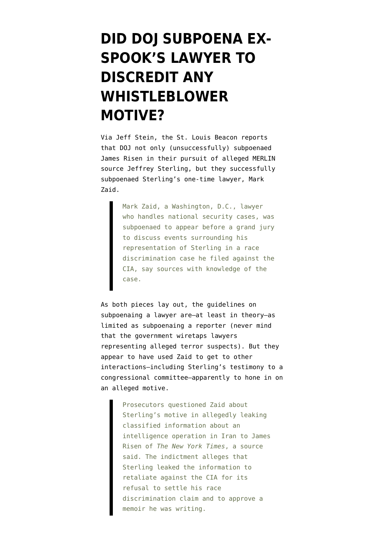## **[DID DOJ SUBPOENA EX-](https://www.emptywheel.net/2011/01/24/did-doj-subpoena-ex-spooks-lawyer-to-discredit-any-whistleblower-motive/)[SPOOK'S LAWYER TO](https://www.emptywheel.net/2011/01/24/did-doj-subpoena-ex-spooks-lawyer-to-discredit-any-whistleblower-motive/) [DISCREDIT ANY](https://www.emptywheel.net/2011/01/24/did-doj-subpoena-ex-spooks-lawyer-to-discredit-any-whistleblower-motive/) [WHISTLEBLOWER](https://www.emptywheel.net/2011/01/24/did-doj-subpoena-ex-spooks-lawyer-to-discredit-any-whistleblower-motive/) [MOTIVE?](https://www.emptywheel.net/2011/01/24/did-doj-subpoena-ex-spooks-lawyer-to-discredit-any-whistleblower-motive/)**

Via [Jeff Stein](http://voices.washingtonpost.com/spy-talk/2011/01/lawyer_in_cia_leak_case_questi.html), the St. Louis Beacon [reports](http://www.stlbeacon.org/issues-politics/nation/107662-sterling-lawyers-subpoena) that DOJ not only (unsuccessfully) subpoenaed James Risen in their pursuit of alleged MERLIN source Jeffrey Sterling, but they successfully subpoenaed Sterling's one-time lawyer, Mark Zaid.

> Mark Zaid, a Washington, D.C., lawyer who handles national security cases, was subpoenaed to appear before a grand jury to discuss events surrounding his representation of Sterling in a race discrimination case he filed against the CIA, say sources with knowledge of the case.

As both pieces lay out, the guidelines on subpoenaing a lawyer are–at least in theory–as limited as subpoenaing a reporter (never mind that the government wiretaps lawyers representing alleged terror suspects). But they appear to have used Zaid to get to other interactions–including Sterling's testimony to a congressional committee–apparently to hone in on an alleged motive.

> Prosecutors questioned Zaid about Sterling's motive in allegedly leaking classified information about an intelligence operation in Iran to James Risen of *The New York Times*, a source said. The indictment alleges that Sterling leaked the information to retaliate against the CIA for its refusal to settle his race discrimination claim and to approve a memoir he was writing.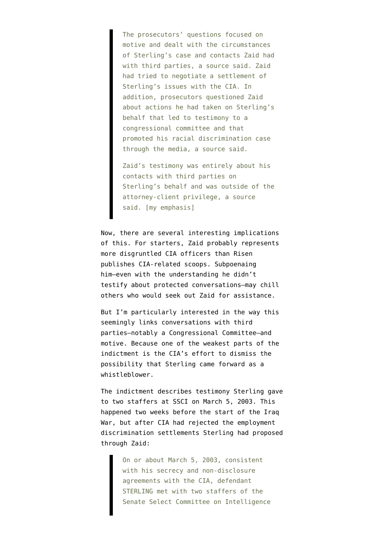The prosecutors' questions focused on motive and dealt with the circumstances of Sterling's case and contacts Zaid had with third parties, a source said. Zaid had tried to negotiate a settlement of Sterling's issues with the CIA. In addition, prosecutors questioned Zaid about actions he had taken on Sterling's behalf that led to testimony to a congressional committee and that promoted his racial discrimination case through the media, a source said.

Zaid's testimony was entirely about his contacts with third parties on Sterling's behalf and was outside of the attorney-client privilege, a source said. [my emphasis]

Now, there are several interesting implications of this. For starters, Zaid probably represents more disgruntled CIA officers than Risen publishes CIA-related scoops. Subpoenaing him–even with the understanding he didn't testify about protected conversations–may chill others who would seek out Zaid for assistance.

But I'm particularly interested in the way this seemingly links conversations with third parties–notably a Congressional Committee–and motive. Because one of the weakest parts of the indictment is the CIA's effort to dismiss the possibility that Sterling came forward as a whistleblower.

The [indictment](http://static1.firedoglake.com/28/files/2011/01/101222-Sterling-Indictment.pdf) describes testimony Sterling gave to two staffers at SSCI on March 5, 2003. This happened two weeks before the start of the Iraq War, but after CIA had rejected the employment discrimination settlements Sterling had proposed through Zaid:

> On or about March 5, 2003, consistent with his secrecy and non-disclosure agreements with the CIA, defendant STERLING met with two staffers of the Senate Select Committee on Intelligence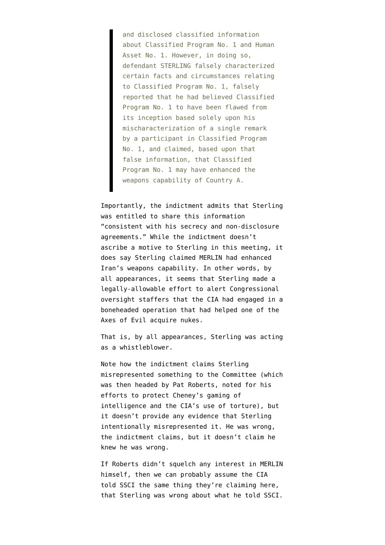and disclosed classified information about Classified Program No. 1 and Human Asset No. 1. However, in doing so, defendant STERLING falsely characterized certain facts and circumstances relating to Classified Program No. 1, falsely reported that he had believed Classified Program No. 1 to have been flawed from its inception based solely upon his mischaracterization of a single remark by a participant in Classified Program No. 1, and claimed, based upon that false information, that Classified Program No. 1 may have enhanced the weapons capability of Country A.

Importantly, the indictment admits that Sterling was entitled to share this information "consistent with his secrecy and non-disclosure agreements." While the indictment doesn't ascribe a motive to Sterling in this meeting, it does say Sterling claimed MERLIN had enhanced Iran's weapons capability. In other words, by all appearances, it seems that Sterling made a legally-allowable effort to alert Congressional oversight staffers that the CIA had engaged in a boneheaded operation that had helped one of the Axes of Evil acquire nukes.

That is, by all appearances, Sterling was acting as a whistleblower.

Note how the indictment claims Sterling misrepresented something to the Committee (which was then headed by Pat Roberts, noted for his efforts to protect Cheney's gaming of intelligence and the CIA's use of torture), but it doesn't provide any evidence that Sterling intentionally misrepresented it. He was wrong, the indictment claims, but it doesn't claim he knew he was wrong.

If Roberts didn't squelch any interest in MERLIN himself, then we can probably assume the CIA told SSCI the same thing they're claiming here, that Sterling was wrong about what he told SSCI.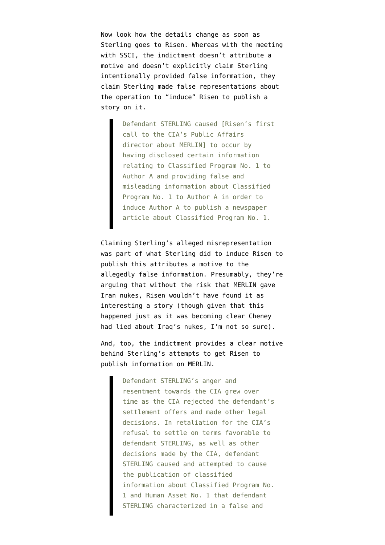Now look how the details change as soon as Sterling goes to Risen. Whereas with the meeting with SSCI, the indictment doesn't attribute a motive and doesn't explicitly claim Sterling intentionally provided false information, they claim Sterling made false representations about the operation to "induce" Risen to publish a story on it.

> Defendant STERLING caused [Risen's first call to the CIA's Public Affairs director about MERLIN] to occur by having disclosed certain information relating to Classified Program No. 1 to Author A and providing false and misleading information about Classified Program No. 1 to Author A in order to induce Author A to publish a newspaper article about Classified Program No. 1.

Claiming Sterling's alleged misrepresentation was part of what Sterling did to induce Risen to publish this attributes a motive to the allegedly false information. Presumably, they're arguing that without the risk that MERLIN gave Iran nukes, Risen wouldn't have found it as interesting a story (though given that this happened just as it was becoming clear Cheney had lied about Iraq's nukes, I'm not so sure).

And, too, the indictment provides a clear motive behind Sterling's attempts to get Risen to publish information on MERLIN.

> Defendant STERLING's anger and resentment towards the CIA grew over time as the CIA rejected the defendant's settlement offers and made other legal decisions. In retaliation for the CIA's refusal to settle on terms favorable to defendant STERLING, as well as other decisions made by the CIA, defendant STERLING caused and attempted to cause the publication of classified information about Classified Program No. 1 and Human Asset No. 1 that defendant STERLING characterized in a false and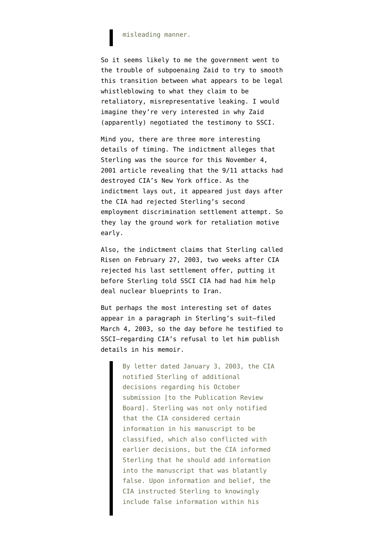## misleading manner.

So it seems likely to me the government went to the trouble of subpoenaing Zaid to try to smooth this transition between what appears to be legal whistleblowing to what they claim to be retaliatory, misrepresentative leaking. I would imagine they're very interested in why Zaid (apparently) negotiated the testimony to SSCI.

Mind you, there are three more interesting details of timing. The indictment alleges that Sterling was the source for [this November 4,](http://www.commondreams.org/headlines01/1104-04.htm) [2001 article](http://www.commondreams.org/headlines01/1104-04.htm) revealing that the 9/11 attacks had destroyed CIA's New York office. As the indictment lays out, it appeared just days after the CIA had rejected Sterling's second employment discrimination settlement attempt. So they lay the ground work for retaliation motive early.

Also, the indictment claims that Sterling called Risen on February 27, 2003, two weeks after CIA rejected his last settlement offer, putting it before Sterling told SSCI CIA had had him help deal nuclear blueprints to Iran.

But perhaps the most interesting set of dates appear in a paragraph in [Sterling's suit–](http://static1.firedoglake.com/28/files/2011/01/030403-Sterling-Complaint.pdf)filed March 4, 2003, so the day before he testified to SSCI–regarding CIA's refusal to let him publish details in his memoir.

> By letter dated January 3, 2003, the CIA notified Sterling of additional decisions regarding his October submission [to the Publication Review Board]. Sterling was not only notified that the CIA considered certain information in his manuscript to be classified, which also conflicted with earlier decisions, but the CIA informed Sterling that he should add information into the manuscript that was blatantly false. Upon information and belief, the CIA instructed Sterling to knowingly include false information within his